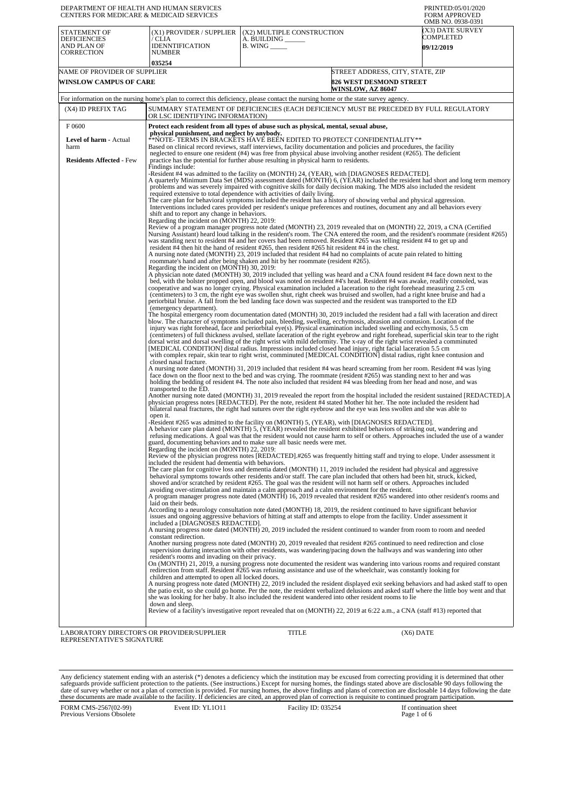| DEPARTMENT OF HEALTH AND HUMAN SERVICES<br><b>CENTERS FOR MEDICARE &amp; MEDICAID SERVICES</b> |                                                                                                                                                                                                                                                                                                                                                                                                                                                                                                                                                                                                                                                                                                                                                                                                                                                                                                                                                                              |                                                               |                                                                                                | PRINTED:05/01/2020<br><b>FORM APPROVED</b><br>OMB NO. 0938-0391                                                                 |
|------------------------------------------------------------------------------------------------|------------------------------------------------------------------------------------------------------------------------------------------------------------------------------------------------------------------------------------------------------------------------------------------------------------------------------------------------------------------------------------------------------------------------------------------------------------------------------------------------------------------------------------------------------------------------------------------------------------------------------------------------------------------------------------------------------------------------------------------------------------------------------------------------------------------------------------------------------------------------------------------------------------------------------------------------------------------------------|---------------------------------------------------------------|------------------------------------------------------------------------------------------------|---------------------------------------------------------------------------------------------------------------------------------|
| STATEMENT OF<br><b>DEFICIENCIES</b><br>AND PLAN OF<br>CORRECTION                               | (X1) PROVIDER / SUPPLIER<br>/ CLIA<br>IDENNTIFICATION<br>NUMBER<br>035254                                                                                                                                                                                                                                                                                                                                                                                                                                                                                                                                                                                                                                                                                                                                                                                                                                                                                                    | (X2) MULTIPLE CONSTRUCTION<br>A. BUILDING __<br>B. WING _____ |                                                                                                | (X3) DATE SURVEY<br>COMPLETED<br><b>09/12/2019</b>                                                                              |
| NAME OF PROVIDER OF SUPPLIER<br><b>WINSLOW CAMPUS OF CARE</b>                                  |                                                                                                                                                                                                                                                                                                                                                                                                                                                                                                                                                                                                                                                                                                                                                                                                                                                                                                                                                                              |                                                               | STREET ADDRESS, CITY, STATE, ZIP<br><b>826 WEST DESMOND STREET</b><br><b>WINSLOW, AZ 86047</b> |                                                                                                                                 |
|                                                                                                | For information on the nursing home's plan to correct this deficiency, please contact the nursing home or the state survey agency.                                                                                                                                                                                                                                                                                                                                                                                                                                                                                                                                                                                                                                                                                                                                                                                                                                           |                                                               |                                                                                                |                                                                                                                                 |
| (X4) ID PREFIX TAG                                                                             | SUMMARY STATEMENT OF DEFICIENCIES (EACH DEFICIENCY MUST BE PRECEDED BY FULL REGULATORY<br>OR LSC IDENTIFYING INFORMATION)                                                                                                                                                                                                                                                                                                                                                                                                                                                                                                                                                                                                                                                                                                                                                                                                                                                    |                                                               |                                                                                                |                                                                                                                                 |
| F0600                                                                                          | Protect each resident from all types of abuse such as physical, mental, sexual abuse,                                                                                                                                                                                                                                                                                                                                                                                                                                                                                                                                                                                                                                                                                                                                                                                                                                                                                        |                                                               |                                                                                                |                                                                                                                                 |
| Level of harm - Actual<br>harm                                                                 | physical punishment, and neglect by anybody.<br>**NOTE- TERMS IN BRACKETS HAVE BEEN EDITED TO PROTECT CONFIDENTIALITY**<br>Based on clinical record reviews, staff interviews, facility documentation and policies and procedures, the facility<br>neglected to ensure one resident (#4) was free from physical abuse involving another resident (#265). The deficient                                                                                                                                                                                                                                                                                                                                                                                                                                                                                                                                                                                                       |                                                               |                                                                                                |                                                                                                                                 |
| <b>Residents Affected - Few</b>                                                                | practice has the potential for further abuse resulting in physical harm to residents.<br>Findings include:<br>-Resident #4 was admitted to the facility on (MONTH) 24, (YEAR), with [DIAGNOSES REDACTED].<br>A quarterly Minimum Data Set (MDS) assessment dated (MONTH) 6, (YEAR) included the resident had short and long term memory<br>problems and was severely impaired with cognitive skills for daily decision making. The MDS also included the resident<br>required extensive to total dependence with activities of daily living.<br>The care plan for behavioral symptoms included the resident has a history of showing verbal and physical aggression.<br>Interventions included cares provided per resident's unique preferences and routines, document any and all behaviors every                                                                                                                                                                           |                                                               |                                                                                                |                                                                                                                                 |
|                                                                                                | shift and to report any change in behaviors.<br>Regarding the incident on (MONTH) 22, 2019:<br>Review of a program manager progress note dated (MONTH) 23, 2019 revealed that on (MONTH) 22, 2019, a CNA (Certified<br>Nursing Assistant) heard loud talking in the resident's room. The CNA entered the room, and the resident's roommate (resident #265)<br>was standing next to resident #4 and her covers had been removed. Resident #265 was telling resident #4 to get up and<br>resident #4 then hit the hand of resident #265, then resident #265 hit resident #4 in the chest.<br>A nursing note dated (MONTH) 23, 2019 included that resident #4 had no complaints of acute pain related to hitting<br>roommate's hand and after being shaken and hit by her roommate (resident #265).<br>Regarding the incident on (MONTH) 30, 2019:<br>A physician note dated (MONTH) 30, 2019 included that yelling was heard and a CNA found resident #4 face down next to the |                                                               |                                                                                                |                                                                                                                                 |
|                                                                                                | bed, with the bolster propped open, and blood was noted on resident #4's head. Resident #4 was awake, readily consoled, was<br>cooperative and was no longer crying. Physical examination included a laceration to the right forehead measuring 2.5 cm<br>(centimeters) to 3 cm, the right eye was swollen shut, right cheek was bruised and swollen, had a right knee bruise and had a<br>periorbital bruise. A fall from the bed landing face down was suspected and the resident was transported to the ED<br>(emergency department).                                                                                                                                                                                                                                                                                                                                                                                                                                     |                                                               |                                                                                                |                                                                                                                                 |
|                                                                                                | The hospital emergency room documentation dated (MONTH) 30, 2019 included the resident had a fall with laceration and direct<br>blow. The character of symptoms included pain, bleeding, swelling, ecchymosis, abrasion and contusion. Location of the<br>injury was right forehead, face and periorbital eye(s). Physical examination included swelling and ecchymosis, 5.5 cm<br>(centimeters) of full thickness avulsed, stellate laceration of the right eyebrow and right forehead, superficial skin tear to the right<br>dorsal wrist and dorsal swelling of the right wrist with mild deformity. The x-ray of the right wrist revealed a comminuted<br>[MEDICAL CONDITION] distal radius. Impressions included closed head injury, right facial laceration 5.5 cm<br>with complex repair, skin tear to right wrist, comminuted [MEDICAL CONDITION] distal radius, right knee contusion and<br>closed nasal fracture.                                                  |                                                               |                                                                                                |                                                                                                                                 |
|                                                                                                | A nursing note dated (MONTH) 31, 2019 included that resident #4 was heard screaming from her room. Resident #4 was lying<br>face down on the floor next to the bed and was crying. The roommate (resident #265) was standing next to her and was<br>holding the bedding of resident #4. The note also included that resident #4 was bleeding from her head and nose, and was<br>transported to the ED.                                                                                                                                                                                                                                                                                                                                                                                                                                                                                                                                                                       |                                                               |                                                                                                |                                                                                                                                 |
|                                                                                                | physician progress notes [REDACTED]. Per the note, resident #4 stated Mother hit her. The note included the resident had<br>bilateral nasal fractures, the right had sutures over the right eyebrow and the eye was less swollen and she was able to<br>open it.                                                                                                                                                                                                                                                                                                                                                                                                                                                                                                                                                                                                                                                                                                             |                                                               |                                                                                                | Another nursing note dated (MONTH) 31, 2019 revealed the report from the hospital included the resident sustained [REDACTED]. A |
|                                                                                                | -Resident #265 was admitted to the facility on (MONTH) 5, (YEAR), with [DIAGNOSES REDACTED].<br>A behavior care plan dated (MONTH) 5, (YEAR) revealed the resident exhibited behaviors of striking out, wandering and<br>refusing medications. A goal was that the resident would not cause harm to self or others. Approaches included the use of a wander<br>guard, documenting behaviors and to make sure all basic needs were met.<br>Regarding the incident on (MONTH) 22, 2019:                                                                                                                                                                                                                                                                                                                                                                                                                                                                                        |                                                               |                                                                                                |                                                                                                                                 |
|                                                                                                | Review of the physician progress notes [REDACTED].#265 was frequently hitting staff and trying to elope. Under assessment it<br>included the resident had dementia with behaviors.<br>The care plan for cognitive loss and dementia dated (MONTH) 11, 2019 included the resident had physical and aggressive<br>behavioral symptoms towards other residents and/or staff. The care plan included that others had been hit, struck, kicked,<br>shoved and/or scratched by resident #265. The goal was the resident will not harm self or others. Approaches included                                                                                                                                                                                                                                                                                                                                                                                                          |                                                               |                                                                                                |                                                                                                                                 |
|                                                                                                | avoiding over-stimulation and maintain a calm approach and a calm environment for the resident.<br>A program manager progress note dated (MONTH) 16, 2019 revealed that resident #265 wandered into other resident's rooms and<br>laid on their beds.<br>According to a neurology consultation note dated (MONTH) 18, 2019, the resident continued to have significant behavior<br>issues and ongoing aggressive behaviors of hitting at staff and attempts to elope from the facility. Under assessment it                                                                                                                                                                                                                                                                                                                                                                                                                                                                  |                                                               |                                                                                                |                                                                                                                                 |
|                                                                                                | included a [DIAGNOSES REDACTED].<br>A nursing progress note dated (MONTH) 20, 2019 included the resident continued to wander from room to room and needed<br>constant redirection.                                                                                                                                                                                                                                                                                                                                                                                                                                                                                                                                                                                                                                                                                                                                                                                           |                                                               |                                                                                                |                                                                                                                                 |
|                                                                                                | Another nursing progress note dated (MONTH) 20, 2019 revealed that resident #265 continued to need redirection and close<br>supervision during interaction with other residents, was wandering/pacing down the hallways and was wandering into other<br>resident's rooms and invading on their privacy.<br>On (MONTH) 21, 2019, a nursing progress note documented the resident was wandering into various rooms and required constant                                                                                                                                                                                                                                                                                                                                                                                                                                                                                                                                       |                                                               |                                                                                                |                                                                                                                                 |
|                                                                                                | redirection from staff. Resident #265 was refusing assistance and use of the wheelchair, was constantly looking for<br>children and attempted to open all locked doors.<br>A nursing progress note dated (MONTH) 22, 2019 included the resident displayed exit seeking behaviors and had asked staff to open<br>the patio exit, so she could go home. Per the note, the resident verbalized delusions and asked staff where the little boy went and that                                                                                                                                                                                                                                                                                                                                                                                                                                                                                                                     |                                                               |                                                                                                |                                                                                                                                 |
|                                                                                                | she was looking for her baby. It also included the resident wandered into other resident rooms to lie<br>down and sleep.<br>Review of a facility's investigative report revealed that on (MONTH) 22, 2019 at 6:22 a.m., a CNA (staff #13) reported that                                                                                                                                                                                                                                                                                                                                                                                                                                                                                                                                                                                                                                                                                                                      |                                                               |                                                                                                |                                                                                                                                 |
| LABORATORY DIRECTOR'S OR PROVIDER/SUPPLIER                                                     |                                                                                                                                                                                                                                                                                                                                                                                                                                                                                                                                                                                                                                                                                                                                                                                                                                                                                                                                                                              | TITLE                                                         | (X6) DATE                                                                                      |                                                                                                                                 |
| REPRESENTATIVE'S SIGNATURE                                                                     |                                                                                                                                                                                                                                                                                                                                                                                                                                                                                                                                                                                                                                                                                                                                                                                                                                                                                                                                                                              |                                                               |                                                                                                |                                                                                                                                 |

Any deficiency statement ending with an asterisk (\*) denotes a deficiency which the institution may be excused from correcting providing it is determined that other safeguards provide sufficient protection to the patients.

FORM CMS-2567(02-99) Previous Versions Obsolete Event ID: YL1O11 Facility ID: 035254 If continuation sheet<br>Page 1 of 6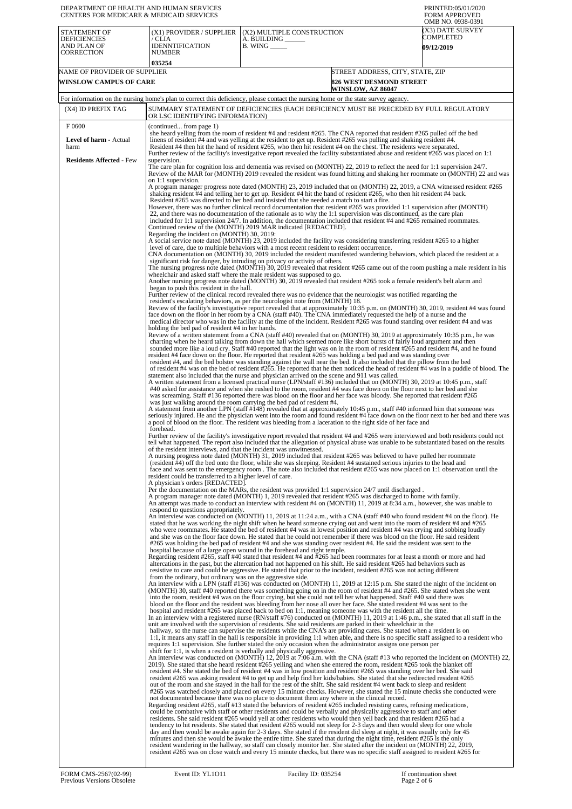| DEPARTMENT OF HEALTH AND HUMAN SERVICES<br>CENTERS FOR MEDICARE & MEDICAID SERVICES |                                                                                              |                                                                                                                                                                                                                                                                                                                                                                                                                                                                                                                                                                                                                                                                                                                                                                                                                                                                                                                                                                                                                                                                                                                                                                                                                                                                                                                                                                                 | PRINTED:05/01/2020<br><b>FORM APPROVED</b><br>OMB NO. 0938-0391 |
|-------------------------------------------------------------------------------------|----------------------------------------------------------------------------------------------|---------------------------------------------------------------------------------------------------------------------------------------------------------------------------------------------------------------------------------------------------------------------------------------------------------------------------------------------------------------------------------------------------------------------------------------------------------------------------------------------------------------------------------------------------------------------------------------------------------------------------------------------------------------------------------------------------------------------------------------------------------------------------------------------------------------------------------------------------------------------------------------------------------------------------------------------------------------------------------------------------------------------------------------------------------------------------------------------------------------------------------------------------------------------------------------------------------------------------------------------------------------------------------------------------------------------------------------------------------------------------------|-----------------------------------------------------------------|
| STATEMENT OF<br><b>DEFICIENCIES</b><br>AND PLAN OF<br>CORRECTION                    | (X1) PROVIDER / SUPPLIER<br>/ CLIA<br>IDENNTIFICATION<br>NUMBER                              | (X2) MULTIPLE CONSTRUCTION<br>A. BUILDING ______<br>$B.$ WING $\_\_\_\_\_\_\$                                                                                                                                                                                                                                                                                                                                                                                                                                                                                                                                                                                                                                                                                                                                                                                                                                                                                                                                                                                                                                                                                                                                                                                                                                                                                                   | X3) DATE SURVEY<br>COMPLETED<br><b>09/12/2019</b>               |
|                                                                                     | 035254                                                                                       |                                                                                                                                                                                                                                                                                                                                                                                                                                                                                                                                                                                                                                                                                                                                                                                                                                                                                                                                                                                                                                                                                                                                                                                                                                                                                                                                                                                 |                                                                 |
| NAME OF PROVIDER OF SUPPLIER                                                        |                                                                                              |                                                                                                                                                                                                                                                                                                                                                                                                                                                                                                                                                                                                                                                                                                                                                                                                                                                                                                                                                                                                                                                                                                                                                                                                                                                                                                                                                                                 | STREET ADDRESS, CITY, STATE, ZIP                                |
| <b>WINSLOW CAMPUS OF CARE</b>                                                       |                                                                                              | <b>826 WEST DESMOND STREET</b><br><b>WINSLOW, AZ 86047</b>                                                                                                                                                                                                                                                                                                                                                                                                                                                                                                                                                                                                                                                                                                                                                                                                                                                                                                                                                                                                                                                                                                                                                                                                                                                                                                                      |                                                                 |
|                                                                                     |                                                                                              | For information on the nursing home's plan to correct this deficiency, please contact the nursing home or the state survey agency.                                                                                                                                                                                                                                                                                                                                                                                                                                                                                                                                                                                                                                                                                                                                                                                                                                                                                                                                                                                                                                                                                                                                                                                                                                              |                                                                 |
| (X4) ID PREFIX TAG                                                                  | OR LSC IDENTIFYING INFORMATION)                                                              | SUMMARY STATEMENT OF DEFICIENCIES (EACH DEFICIENCY MUST BE PRECEDED BY FULL REGULATORY                                                                                                                                                                                                                                                                                                                                                                                                                                                                                                                                                                                                                                                                                                                                                                                                                                                                                                                                                                                                                                                                                                                                                                                                                                                                                          |                                                                 |
| F0600<br>Level of harm - Actual<br>harm                                             | (continued from page 1)                                                                      | she heard yelling from the room of resident #4 and resident #265. The CNA reported that resident #265 pulled off the bed<br>linens of resident #4 and was yelling at the resident to get up. Resident #265 was pulling and shaking resident #4.<br>Resident #4 then hit the hand of resident #265, who then hit resident #4 on the chest. The residents were separated.                                                                                                                                                                                                                                                                                                                                                                                                                                                                                                                                                                                                                                                                                                                                                                                                                                                                                                                                                                                                         |                                                                 |
| <b>Residents Affected - Few</b>                                                     | supervision.                                                                                 | Further review of the facility's investigative report revealed the facility substantiated abuse and resident #265 was placed on 1:1                                                                                                                                                                                                                                                                                                                                                                                                                                                                                                                                                                                                                                                                                                                                                                                                                                                                                                                                                                                                                                                                                                                                                                                                                                             |                                                                 |
|                                                                                     | on 1:1 supervision.                                                                          | The care plan for cognition loss and dementia was revised on (MONTH) 22, 2019 to reflect the need for 1:1 supervision 24/7.<br>Review of the MAR for (MONTH) 2019 revealed the resident was found hitting and shaking her roommate on (MONTH) 22 and was                                                                                                                                                                                                                                                                                                                                                                                                                                                                                                                                                                                                                                                                                                                                                                                                                                                                                                                                                                                                                                                                                                                        |                                                                 |
|                                                                                     | Regarding the incident on (MONTH) 30, 2019:                                                  | A program manager progress note dated (MONTH) 23, 2019 included that on (MONTH) 22, 2019, a CNA witnessed resident #265<br>shaking resident #4 and telling her to get up. Resident #4 hit the hand of resident #265, who then hit resident #4 back.<br>Resident #265 was directed to her bed and insisted that she needed a match to start a fire.<br>However, there was no further clinical record documentation that resident #265 was provided 1:1 supervision after (MONTH)<br>22, and there was no documentation of the rationale as to why the 1:1 supervision was discontinued, as the care plan<br>included for 1:1 supervision $24/7$ . In addition, the documentation included that resident #4 and #265 remained roommates.<br>Continued review of the (MONTH) 2019 MAR indicated [REDACTED].                                                                                                                                                                                                                                                                                                                                                                                                                                                                                                                                                                        |                                                                 |
|                                                                                     |                                                                                              | A social service note dated (MONTH) 23, 2019 included the facility was considering transferring resident #265 to a higher<br>level of care, due to multiple behaviors with a most recent resident to resident occurrence.<br>CNA documentation on (MONTH) 30, 2019 included the resident manifested wandering behaviors, which placed the resident at a<br>significant risk for danger, by intruding on privacy or activity of others.                                                                                                                                                                                                                                                                                                                                                                                                                                                                                                                                                                                                                                                                                                                                                                                                                                                                                                                                          |                                                                 |
|                                                                                     | began to push this resident in the hall.                                                     | The nursing progress note dated (MONTH) 30, 2019 revealed that resident #265 came out of the room pushing a male resident in his<br>wheelchair and asked staff where the male resident was supposed to go.<br>Another nursing progress note dated (MONTH) 30, 2019 revealed that resident #265 took a female resident's belt alarm and                                                                                                                                                                                                                                                                                                                                                                                                                                                                                                                                                                                                                                                                                                                                                                                                                                                                                                                                                                                                                                          |                                                                 |
|                                                                                     |                                                                                              | Further review of the clinical record revealed there was no evidence that the neurologist was notified regarding the<br>resident's escalating behaviors, as per the neurologist note from (MONTH) 18.<br>Review of the facility's investigative report revealed that at approximately 10:35 p.m. on (MONTH) 30, 2019, resident #4 was found<br>face down on the floor in her room by a CNA (staff #40). The CNA immediately requested the help of a nurse and the<br>medical director who was in the facility at the time of the incident. Resident #265 was found standing over resident #4 and was                                                                                                                                                                                                                                                                                                                                                                                                                                                                                                                                                                                                                                                                                                                                                                            |                                                                 |
|                                                                                     | holding the bed pad of resident #4 in her hands.                                             | Review of a written statement from a CNA (staff #40) revealed that on (MONTH) 30, 2019 at approximately 10:35 p.m., he was<br>charting when he heard talking from down the hall which seemed more like short bursts of fairly loud argument and then<br>sounded more like a loud cry. Staff #40 reported that the light was on in the room of resident #265 and resident #4, and he found<br>resident #4 face down on the floor. He reported that resident #265 was holding a bed pad and was standing over<br>resident #4, and the bed bolster was standing against the wall near the bed. It also included that the pillow from the bed<br>of resident #4 was on the bed of resident #265. He reported that he then noticed the head of resident #4 was in a puddle of blood. The<br>statement also included that the nurse and physician arrived on the scene and 911 was called.                                                                                                                                                                                                                                                                                                                                                                                                                                                                                            |                                                                 |
|                                                                                     |                                                                                              | A written statement from a licensed practical nurse (LPN/staff #136) included that on (MONTH) 30, 2019 at 10:45 p.m., staff<br>#40 asked for assistance and when she rushed to the room, resident #4 was face down on the floor next to her bed and she<br>was screaming. Staff #136 reported there was blood on the floor and her face was bloody. She reported that resident #265<br>was just walking around the room carrying the bed pad of resident #4.<br>A statement from another LPN (staff #148) revealed that at approximately 10:45 p.m., staff #40 informed him that someone was<br>seriously injured. He and the physician went into the room and found resident #4 face down on the floor next to her bed and there was                                                                                                                                                                                                                                                                                                                                                                                                                                                                                                                                                                                                                                           |                                                                 |
|                                                                                     | forehead.                                                                                    | a pool of blood on the floor. The resident was bleeding from a laceration to the right side of her face and<br>Further review of the facility's investigative report revealed that resident #4 and #265 were interviewed and both residents could not                                                                                                                                                                                                                                                                                                                                                                                                                                                                                                                                                                                                                                                                                                                                                                                                                                                                                                                                                                                                                                                                                                                           |                                                                 |
|                                                                                     | of the resident interviews, and that the incident was unwitnessed.                           | tell what happened. The report also included that the allegation of physical abuse was unable to be substantiated based on the results<br>A nursing progress note dated (MONTH) 31, 2019 included that resident #265 was believed to have pulled her roommate<br>(resident #4) off the bed onto the floor, while she was sleeping. Resident #4 sustained serious injuries to the head and<br>face and was sent to the emergency room. The note also included that resident #265 was now placed on 1:1 observation until the                                                                                                                                                                                                                                                                                                                                                                                                                                                                                                                                                                                                                                                                                                                                                                                                                                                     |                                                                 |
|                                                                                     | resident could be transferred to a higher level of care.<br>A physician's orders [REDACTED]. | Per the documentation on the MARs, the resident was provided 1:1 supervision 24/7 until discharged.<br>A program manager note dated (MONTH) 1, 2019 revealed that resident #265 was discharged to home with family.<br>An attempt was made to conduct an interview with resident #4 on (MONTH) 11, 2019 at 8:34 a.m., however, she was unable to                                                                                                                                                                                                                                                                                                                                                                                                                                                                                                                                                                                                                                                                                                                                                                                                                                                                                                                                                                                                                                |                                                                 |
|                                                                                     | respond to questions appropriately.                                                          | An interview was conducted on (MONTH) 11, 2019 at 11:24 a.m., with a CNA (staff #40 who found resident #4 on the floor). He<br>stated that he was working the night shift when he heard someone crying out and went into the room of resident #4 and #265<br>who were roommates. He stated the bed of resident #4 was in lowest position and resident #4 was crying and sobbing loudly<br>and she was on the floor face down. He stated that he could not remember if there was blood on the floor. He said resident<br>#265 was holding the bed pad of resident #4 and she was standing over resident #4. He said the resident was sent to the<br>hospital because of a large open wound in the forehead and right temple.<br>Regarding resident #265, staff #40 stated that resident #4 and #265 had been roommates for at least a month or more and had<br>altercations in the past, but the altercation had not happened on his shift. He said resident #265 had behaviors such as<br>resistive to care and could be aggressive. He stated that prior to the incident, resident #265 was not acting different                                                                                                                                                                                                                                                               |                                                                 |
|                                                                                     | from the ordinary, but ordinary was on the aggressive side.                                  | An interview with a LPN (staff #136) was conducted on (MONTH) 11, 2019 at 12:15 p.m. She stated the night of the incident on<br>(MONTH) 30, staff #40 reported there was something going on in the room of resident #4 and #265. She stated when she went<br>into the room, resident #4 was on the floor crying, but she could not tell her what happened. Staff #40 said there was<br>blood on the floor and the resident was bleeding from her nose all over her face. She stated resident #4 was sent to the<br>hospital and resident #265 was placed back to bed on 1:1, meaning someone was with the resident all the time.<br>In an interview with a registered nurse (RN/staff #76) conducted on (MONTH) 11, 2019 at 1:46 p.m., she stated that all staff in the<br>unit are involved with the supervision of residents. She said residents are parked in their wheelchair in the                                                                                                                                                                                                                                                                                                                                                                                                                                                                                        |                                                                 |
|                                                                                     |                                                                                              | hallway, so the nurse can supervise the residents while the CNA's are providing cares. She stated when a resident is on<br>1:1, it means any staff in the hall is responsible in providing 1:1 when able, and there is no specific staff assigned to a resident who<br>requires 1:1 supervision. She further stated the only occasion when the administrator assigns one person per<br>shift for 1:1, is when a resident is verbally and physically aggressive.<br>An interview was conducted on (MONTH) 12, 2019 at 7:06 a.m. with the CNA (staff #13 who reported the incident on (MONTH) 22,<br>2019). She stated that she heard resident #265 yelling and when she entered the room, resident #265 took the blanket off<br>resident #4. She stated the bed of resident #4 was in low position and resident #265 was standing over her bed. She said                                                                                                                                                                                                                                                                                                                                                                                                                                                                                                                         |                                                                 |
|                                                                                     |                                                                                              | resident #265 was asking resident #4 to get up and help find her kids/babies. She stated that she redirected resident #265<br>out of the room and she stayed in the hall for the rest of the shift. She said resident #4 went back to sleep and resident<br>#265 was watched closely and placed on every 15 minute checks. However, she stated the 15 minute checks she conducted were<br>not documented because there was no place to document them any where in the clinical record.<br>Regarding resident #265, staff #13 stated the behaviors of resident #265 included resisting cares, refusing medications,<br>could be combative with staff or other residents and could be verbally and physically aggressive to staff and other<br>residents. She said resident #265 would yell at other residents who would then yell back and that resident #265 had a<br>tendency to hit residents. She stated that resident #265 would not sleep for 2-3 days and then would sleep for one whole<br>day and then would be awake again for 2-3 days. She stated if the resident did sleep at night, it was usually only for 45<br>minutes and then she would be awake the entire time. She stated that during the night time, resident #265 is the only<br>resident wandering in the hallway, so staff can closely monitor her. She stated after the incident on (MONTH) 22, 2019, |                                                                 |
|                                                                                     |                                                                                              | resident #265 was on close watch and every 15 minute checks, but there was no specific staff assigned to resident #265 for                                                                                                                                                                                                                                                                                                                                                                                                                                                                                                                                                                                                                                                                                                                                                                                                                                                                                                                                                                                                                                                                                                                                                                                                                                                      |                                                                 |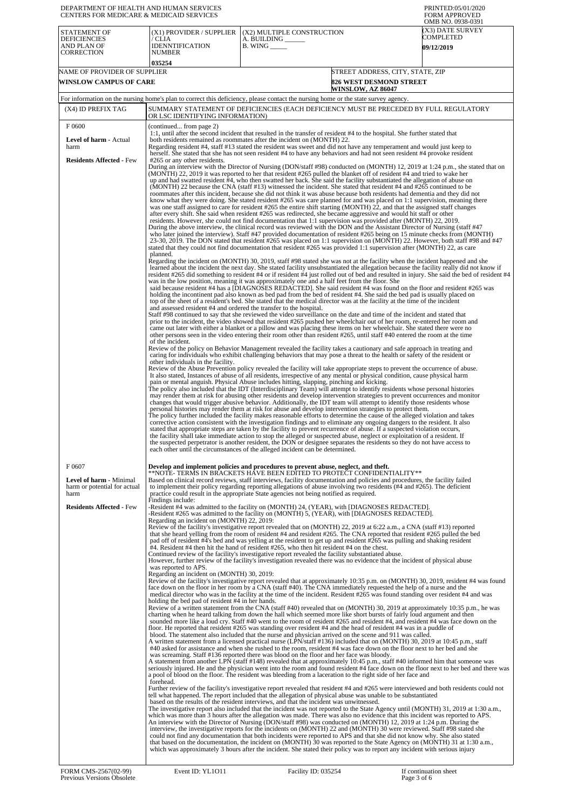| DEPARTMENT OF HEALTH AND HUMAN SERVICES<br>CENTERS FOR MEDICARE & MEDICAID SERVICES                         |                                                                                                                                                                                                        |                                                                                                                                                                                                                                                                                                                                                                                                                                                                                                                                                                                                                                                                                                                                                                                                                                                                                                                                                                                                                                                                                                                                                                                                                                                                                                                                                                                                                                                                                                                                                                                                                                                                                                                                                                                                                                                                                                                                                                                                                                                                                                                                                                                                                                                                                                                                                                                                                                                                                                                                                                                                                                                                                                                                                                                                                                                                                                                                                                                                                                                                                                                                                                                                                                                                                                                                                                                                                                                                                                                                                                                                                                                                                                                                                                                                                                                                                                                                                                                                                                                                                                                                                                                                                                                                                                                                                                                                                                                                                                                                                                                                                                                                                                                                                                                                                                                                                                                                                                                                                                                                                                                                                                                                                | PRINTED:05/01/2020<br><b>FORM APPROVED</b><br>OMB NO. 0938-0391 |  |
|-------------------------------------------------------------------------------------------------------------|--------------------------------------------------------------------------------------------------------------------------------------------------------------------------------------------------------|----------------------------------------------------------------------------------------------------------------------------------------------------------------------------------------------------------------------------------------------------------------------------------------------------------------------------------------------------------------------------------------------------------------------------------------------------------------------------------------------------------------------------------------------------------------------------------------------------------------------------------------------------------------------------------------------------------------------------------------------------------------------------------------------------------------------------------------------------------------------------------------------------------------------------------------------------------------------------------------------------------------------------------------------------------------------------------------------------------------------------------------------------------------------------------------------------------------------------------------------------------------------------------------------------------------------------------------------------------------------------------------------------------------------------------------------------------------------------------------------------------------------------------------------------------------------------------------------------------------------------------------------------------------------------------------------------------------------------------------------------------------------------------------------------------------------------------------------------------------------------------------------------------------------------------------------------------------------------------------------------------------------------------------------------------------------------------------------------------------------------------------------------------------------------------------------------------------------------------------------------------------------------------------------------------------------------------------------------------------------------------------------------------------------------------------------------------------------------------------------------------------------------------------------------------------------------------------------------------------------------------------------------------------------------------------------------------------------------------------------------------------------------------------------------------------------------------------------------------------------------------------------------------------------------------------------------------------------------------------------------------------------------------------------------------------------------------------------------------------------------------------------------------------------------------------------------------------------------------------------------------------------------------------------------------------------------------------------------------------------------------------------------------------------------------------------------------------------------------------------------------------------------------------------------------------------------------------------------------------------------------------------------------------------------------------------------------------------------------------------------------------------------------------------------------------------------------------------------------------------------------------------------------------------------------------------------------------------------------------------------------------------------------------------------------------------------------------------------------------------------------------------------------------------------------------------------------------------------------------------------------------------------------------------------------------------------------------------------------------------------------------------------------------------------------------------------------------------------------------------------------------------------------------------------------------------------------------------------------------------------------------------------------------------------------------------------------------------------------------------------------------------------------------------------------------------------------------------------------------------------------------------------------------------------------------------------------------------------------------------------------------------------------------------------------------------------------------------------------------------------------------------------------------------------------------------------------------|-----------------------------------------------------------------|--|
| STATEMENT OF<br><b>DEFICIENCIES</b><br>AND PLAN OF<br><b>CORRECTION</b>                                     | (X1) PROVIDER / SUPPLIER<br>/ CLIA<br><b>IDENNTIFICATION</b><br><b>NUMBER</b><br>035254                                                                                                                | (X2) MULTIPLE CONSTRUCTION<br>A. BUILDING<br>$B.$ WING $\_\_\_\_\_\_\$                                                                                                                                                                                                                                                                                                                                                                                                                                                                                                                                                                                                                                                                                                                                                                                                                                                                                                                                                                                                                                                                                                                                                                                                                                                                                                                                                                                                                                                                                                                                                                                                                                                                                                                                                                                                                                                                                                                                                                                                                                                                                                                                                                                                                                                                                                                                                                                                                                                                                                                                                                                                                                                                                                                                                                                                                                                                                                                                                                                                                                                                                                                                                                                                                                                                                                                                                                                                                                                                                                                                                                                                                                                                                                                                                                                                                                                                                                                                                                                                                                                                                                                                                                                                                                                                                                                                                                                                                                                                                                                                                                                                                                                                                                                                                                                                                                                                                                                                                                                                                                                                                                                                         | (X3) DATE SURVEY<br>COMPLETED<br><b>09/12/2019</b>              |  |
| NAME OF PROVIDER OF SUPPLIER<br><b>WINSLOW CAMPUS OF CARE</b>                                               |                                                                                                                                                                                                        | STREET ADDRESS, CITY, STATE, ZIP<br><b>826 WEST DESMOND STREET</b><br><b>WINSLOW, AZ 86047</b>                                                                                                                                                                                                                                                                                                                                                                                                                                                                                                                                                                                                                                                                                                                                                                                                                                                                                                                                                                                                                                                                                                                                                                                                                                                                                                                                                                                                                                                                                                                                                                                                                                                                                                                                                                                                                                                                                                                                                                                                                                                                                                                                                                                                                                                                                                                                                                                                                                                                                                                                                                                                                                                                                                                                                                                                                                                                                                                                                                                                                                                                                                                                                                                                                                                                                                                                                                                                                                                                                                                                                                                                                                                                                                                                                                                                                                                                                                                                                                                                                                                                                                                                                                                                                                                                                                                                                                                                                                                                                                                                                                                                                                                                                                                                                                                                                                                                                                                                                                                                                                                                                                                 |                                                                 |  |
|                                                                                                             |                                                                                                                                                                                                        | For information on the nursing home's plan to correct this deficiency, please contact the nursing home or the state survey agency.                                                                                                                                                                                                                                                                                                                                                                                                                                                                                                                                                                                                                                                                                                                                                                                                                                                                                                                                                                                                                                                                                                                                                                                                                                                                                                                                                                                                                                                                                                                                                                                                                                                                                                                                                                                                                                                                                                                                                                                                                                                                                                                                                                                                                                                                                                                                                                                                                                                                                                                                                                                                                                                                                                                                                                                                                                                                                                                                                                                                                                                                                                                                                                                                                                                                                                                                                                                                                                                                                                                                                                                                                                                                                                                                                                                                                                                                                                                                                                                                                                                                                                                                                                                                                                                                                                                                                                                                                                                                                                                                                                                                                                                                                                                                                                                                                                                                                                                                                                                                                                                                             |                                                                 |  |
| (X4) ID PREFIX TAG                                                                                          | OR LSC IDENTIFYING INFORMATION)                                                                                                                                                                        | SUMMARY STATEMENT OF DEFICIENCIES (EACH DEFICIENCY MUST BE PRECEDED BY FULL REGULATORY                                                                                                                                                                                                                                                                                                                                                                                                                                                                                                                                                                                                                                                                                                                                                                                                                                                                                                                                                                                                                                                                                                                                                                                                                                                                                                                                                                                                                                                                                                                                                                                                                                                                                                                                                                                                                                                                                                                                                                                                                                                                                                                                                                                                                                                                                                                                                                                                                                                                                                                                                                                                                                                                                                                                                                                                                                                                                                                                                                                                                                                                                                                                                                                                                                                                                                                                                                                                                                                                                                                                                                                                                                                                                                                                                                                                                                                                                                                                                                                                                                                                                                                                                                                                                                                                                                                                                                                                                                                                                                                                                                                                                                                                                                                                                                                                                                                                                                                                                                                                                                                                                                                         |                                                                 |  |
| F0600<br><b>Level of harm - Actual</b><br>harm<br><b>Residents Affected - Few</b>                           | (continued from page 2)<br>#265 or any other residents.<br>planned.<br>and assessed resident #4 and ordered the transfer to the hospital.<br>of the incident.<br>other individuals in the facility.    | 1:1, until after the second incident that resulted in the transfer of resident #4 to the hospital. She further stated that<br>both residents remained as roommates after the incident on (MONTH) 22.<br>Regarding resident #4, staff #13 stated the resident was sweet and did not have any temperament and would just keep to<br>herself. She stated that she has not seen resident #4 to have any behaviors and had not seen resident #4 provoke resident<br>During an interview with the Director of Nursing (DON/staff #98) conducted on (MONTH) 12, 2019 at 1:24 p.m., she stated that on<br>(MONTH) 22, 2019 it was reported to her that resident #265 pulled the blanket off of resident #4 and tried to wake her<br>up and had swatted resident #4, who then swatted her back. She said the facility substantiated the allegation of abuse on<br>(MONTH) 22 because the CNA (staff #13) witnessed the incident. She stated that resident #4 and #265 continued to be<br>roommates after this incident, because she did not think it was abuse because both residents had dementia and they did not<br>know what they were doing. She stated resident #265 was care planned for and was placed on 1:1 supervision, meaning there<br>was one staff assigned to care for resident #265 the entire shift starting (MONTH) 22, and that the assigned staff changes<br>after every shift. She said when resident #265 was redirected, she became aggressive and would hit staff or other<br>residents. However, she could not find documentation that 1:1 supervision was provided after (MONTH) 22, 2019.<br>During the above interview, the clinical record was reviewed with the DON and the Assistant Director of Nursing (staff #47)<br>who later joined the interview). Staff #47 provided documentation of resident #265 being on 15 minute checks from (MONTH)<br>23-30, 2019. The DON stated that resident #265 was placed on 1:1 supervision on (MONTH) 22. However, both staff #98 and #47<br>stated that they could not find documentation that resident #265 was provided 1:1 supervision after (MONTH) 22, as care<br>Regarding the incident on (MONTH) 30, 2019, staff #98 stated she was not at the facility when the incident happened and she<br>learned about the incident the next day. She stated facility unsubstantiated the allegation because the facility really did not know if<br>resident #265 did something to resident #4 or if resident #4 just rolled out of bed and resulted in injury. She said the bed of resident #4<br>was in the low position, meaning it was approximately one and a half feet from the floor. She<br>said because resident #4 has a [DIAGNOSES REDACTED]. She said resident #4 was found on the floor and resident #265 was<br>holding the incontinent pad also known as bed pad from the bed of resident #4. She said the bed pad is usually placed on<br>top of the sheet of a resident's bed. She stated that the medical director was at the facility at the time of the incident<br>Staff #98 continued to say that she reviewed the video surveillance on the date and time of the incident and stated that<br>prior to the incident, the video showed that resident #265 pushed her wheelchair out of her room, re-entered her room and<br>came out later with either a blanket or a pillow and was placing these items on her wheelchair. She stated there were no<br>other persons seen in the video entering their room other than resident #265, until staff #40 entered the room at the time<br>Review of the policy on Behavior Management revealed the facility takes a cautionary and safe approach in treating and<br>caring for individuals who exhibit challenging behaviors that may pose a threat to the health or safety of the resident or<br>Review of the Abuse Prevention policy revealed the facility will take appropriate steps to prevent the occurrence of abuse.<br>It also stated, Instances of abuse of all residents, irrespective of any mental or physical condition, cause physical harm<br>pain or mental anguish. Physical Abuse includes hitting, slapping, pinching and kicking.<br>The policy also included that the IDT (Interdisciplinary Team) will attempt to identify residents whose personal histories<br>may render them at risk for abusing other residents and develop intervention strategies to prevent occurrences and monitor<br>changes that would trigger abusive behavior. Additionally, the IDT team will attempt to identify those residents whose<br>personal histories may render them at risk for abuse and develop intervention strategies to protect them.<br>The policy further included the facility makes reasonable efforts to determine the cause of the alleged violation and takes<br>corrective action consistent with the investigation findings and to eliminate any ongoing dangers to the resident. It also<br>stated that appropriate steps are taken by the facility to prevent recurrence of abuse. If a suspected violation occurs,<br>the facility shall take immediate action to stop the alleged or suspected abuse, neglect or exploitation of a resident. If |                                                                 |  |
| F0607<br>Level of harm - Minimal<br>harm or potential for actual<br>harm<br><b>Residents Affected - Few</b> | Findings include:<br>Regarding an incident on (MONTH) 22, 2019:<br>was reported to APS.<br>Regarding an incident on (MONTH) 30, 2019:<br>holding the bed pad of resident #4 in her hands.<br>forehead. | each other until the circumstances of the alleged incident can be determined.<br>Develop and implement policies and procedures to prevent abuse, neglect, and theft.<br>**NOTE- TERMS IN BRACKETS HAVE BEEN EDITED TO PROTECT CONFIDENTIALITY**<br>Based on clinical record reviews, staff interviews, facility documentation and policies and procedures, the facility failed<br>to implement their policy regarding reporting allegations of abuse involving two residents (#4 and #265). The deficient<br>practice could result in the appropriate State agencies not being notified as required.<br>-Resident #4 was admitted to the facility on (MONTH) 24, (YEAR), with [DIAGNOSES REDACTED].<br>-Resident #265 was admitted to the facility on (MONTH) 5, (YEAR), with [DIAGNOSES REDACTED].<br>Review of the facility's investigative report revealed that on (MONTH) 22, 2019 at 6:22 a.m., a CNA (staff #13) reported<br>that she heard yelling from the room of resident #4 and resident #265. The CNA reported that resident #265 pulled the bed<br>pad off of resident #4's bed and was yelling at the resident to get up and resident #265 was pulling and shaking resident<br>#4. Resident #4 then hit the hand of resident #265, who then hit resident #4 on the chest.<br>Continued review of the facility's investigative report revealed the facility substantiated abuse.<br>However, further review of the facility's investigation revealed there was no evidence that the incident of physical abuse<br>Review of the facility's investigative report revealed that at approximately 10:35 p.m. on (MONTH) 30, 2019, resident #4 was found<br>face down on the floor in her room by a CNA (staff #40). The CNA immediately requested the help of a nurse and the<br>medical director who was in the facility at the time of the incident. Resident #265 was found standing over resident #4 and was<br>Review of a written statement from the CNA (staff #40) revealed that on (MONTH) 30, 2019 at approximately 10:35 p.m., he was<br>charting when he heard talking from down the hall which seemed more like short bursts of fairly loud argument and then<br>sounded more like a loud cry. Staff #40 went to the room of resident #265 and resident #4, and resident #4 was face down on the<br>floor. He reported that resident #265 was standing over resident #4 and the head of resident #4 was in a puddle of<br>blood. The statement also included that the nurse and physician arrived on the scene and 911 was called.<br>A written statement from a licensed practical nurse (LPN/staff #136) included that on (MONTH) 30, 2019 at 10:45 p.m., staff<br>#40 asked for assistance and when she rushed to the room, resident #4 was face down on the floor next to her bed and she<br>was screaming. Staff #136 reported there was blood on the floor and her face was bloody.<br>A statement from another LPN (staff #148) revealed that at approximately 10:45 p.m., staff #40 informed him that someone was<br>seriously injured. He and the physician went into the room and found resident #4 face down on the floor next to her bed and there was<br>a pool of blood on the floor. The resident was bleeding from a laceration to the right side of her face and<br>Further review of the facility's investigative report revealed that resident #4 and #265 were interviewed and both residents could not<br>tell what happened. The report included that the allegation of physical abuse was unable to be substantiated<br>based on the results of the resident interviews, and that the incident was unwitnessed.<br>The investigative report also included that the incident was not reported to the State Agency until (MONTH) 31, 2019 at 1:30 a.m.,<br>which was more than 3 hours after the allegation was made. There was also no evidence that this incident was reported to APS.<br>An interview with the Director of Nursing (DON/staff #98) was conducted on (MONTH) 12, 2019 at 1:24 p.m. During the<br>interview, the investigative reports for the incidents on (MONTH) 22 and (MONTH) 30 were reviewed. Staff #98 stated she<br>could not find any documentation that both incidents were reported to APS and that she did not know why. She also stated<br>that based on the documentation, the incident on (MONTH) 30 was reported to the State Agency on (MONTH) 31 at 1:30 a.m.,<br>which was approximately 3 hours after the incident. She stated their policy was to report any incident with serious injury                                                                                                                                                                                                                                                                                                                                                                                                                                                                                                                                                                                                                                   |                                                                 |  |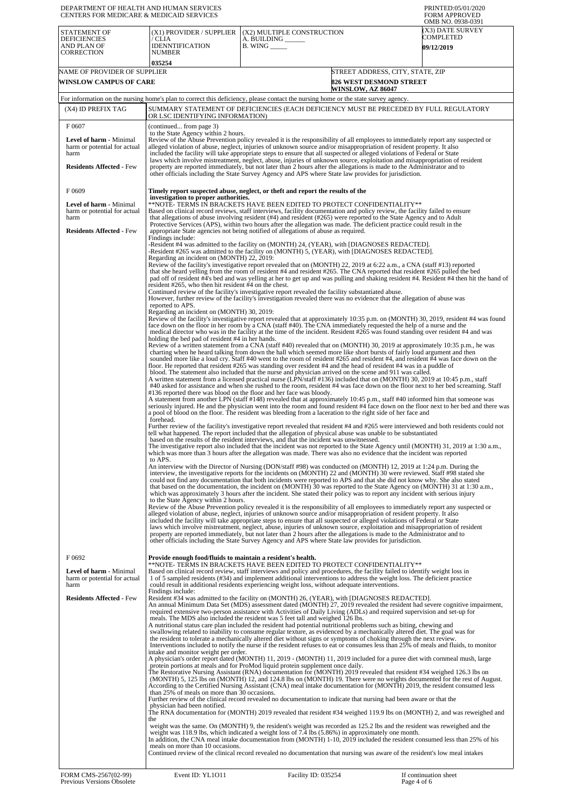| DEPARTMENT OF HEALTH AND HUMAN SERVICES<br><b>CENTERS FOR MEDICARE &amp; MEDICAID SERVICES</b>              |                                                                                                                                                                                                                                                                                                               |                                                                                                                                                                                                                                                                                                                                                                                                                                                                                                                                                                                                                                                                                                                                                                                                                                                                                                                                                                                                                                                                                                                                                                                                                                                                                                                                                                                                                                                                                                                                                                                                                                                                                                                                                                                                                                                                                                                                                                                                                                                                                                                                                                                                                                                                                                                                                                                                                                                                                                                                                                                                                                                                                                                                                                                                                                                                                                                                                                                                                                                                                                                                                                                                                                                                                                                                                                                                                                                                                                                                                                                                                                                                                                                                                                                                                                                                                                                                                                                                                                                                                                                                                                                                                                                                                                                                                                                                                                                                                                                                                                                                                     | PRINTED:05/01/2020<br><b>FORM APPROVED</b><br>OMB NO. 0938-0391    |
|-------------------------------------------------------------------------------------------------------------|---------------------------------------------------------------------------------------------------------------------------------------------------------------------------------------------------------------------------------------------------------------------------------------------------------------|---------------------------------------------------------------------------------------------------------------------------------------------------------------------------------------------------------------------------------------------------------------------------------------------------------------------------------------------------------------------------------------------------------------------------------------------------------------------------------------------------------------------------------------------------------------------------------------------------------------------------------------------------------------------------------------------------------------------------------------------------------------------------------------------------------------------------------------------------------------------------------------------------------------------------------------------------------------------------------------------------------------------------------------------------------------------------------------------------------------------------------------------------------------------------------------------------------------------------------------------------------------------------------------------------------------------------------------------------------------------------------------------------------------------------------------------------------------------------------------------------------------------------------------------------------------------------------------------------------------------------------------------------------------------------------------------------------------------------------------------------------------------------------------------------------------------------------------------------------------------------------------------------------------------------------------------------------------------------------------------------------------------------------------------------------------------------------------------------------------------------------------------------------------------------------------------------------------------------------------------------------------------------------------------------------------------------------------------------------------------------------------------------------------------------------------------------------------------------------------------------------------------------------------------------------------------------------------------------------------------------------------------------------------------------------------------------------------------------------------------------------------------------------------------------------------------------------------------------------------------------------------------------------------------------------------------------------------------------------------------------------------------------------------------------------------------------------------------------------------------------------------------------------------------------------------------------------------------------------------------------------------------------------------------------------------------------------------------------------------------------------------------------------------------------------------------------------------------------------------------------------------------------------------------------------------------------------------------------------------------------------------------------------------------------------------------------------------------------------------------------------------------------------------------------------------------------------------------------------------------------------------------------------------------------------------------------------------------------------------------------------------------------------------------------------------------------------------------------------------------------------------------------------------------------------------------------------------------------------------------------------------------------------------------------------------------------------------------------------------------------------------------------------------------------------------------------------------------------------------------------------------------------------------------------------------------------------------------------------------------|--------------------------------------------------------------------|
| <b>STATEMENT OF</b><br><b>DEFICIENCIES</b><br>AND PLAN OF<br>CORRECTION                                     | (X1) PROVIDER / SUPPLIER<br>/ CLIA<br><b>IDENNTIFICATION</b><br>NUMBER<br>035254                                                                                                                                                                                                                              | (X2) MULTIPLE CONSTRUCTION<br>A. BUILDING _<br><b>B.</b> WING ______                                                                                                                                                                                                                                                                                                                                                                                                                                                                                                                                                                                                                                                                                                                                                                                                                                                                                                                                                                                                                                                                                                                                                                                                                                                                                                                                                                                                                                                                                                                                                                                                                                                                                                                                                                                                                                                                                                                                                                                                                                                                                                                                                                                                                                                                                                                                                                                                                                                                                                                                                                                                                                                                                                                                                                                                                                                                                                                                                                                                                                                                                                                                                                                                                                                                                                                                                                                                                                                                                                                                                                                                                                                                                                                                                                                                                                                                                                                                                                                                                                                                                                                                                                                                                                                                                                                                                                                                                                                                                                                                                | (X3) DATE SURVEY<br>COMPLETED<br><b>09/12/2019</b>                 |
| NAME OF PROVIDER OF SUPPLIER<br><b>WINSLOW CAMPUS OF CARE</b>                                               |                                                                                                                                                                                                                                                                                                               | <b>WINSLOW, AZ 86047</b>                                                                                                                                                                                                                                                                                                                                                                                                                                                                                                                                                                                                                                                                                                                                                                                                                                                                                                                                                                                                                                                                                                                                                                                                                                                                                                                                                                                                                                                                                                                                                                                                                                                                                                                                                                                                                                                                                                                                                                                                                                                                                                                                                                                                                                                                                                                                                                                                                                                                                                                                                                                                                                                                                                                                                                                                                                                                                                                                                                                                                                                                                                                                                                                                                                                                                                                                                                                                                                                                                                                                                                                                                                                                                                                                                                                                                                                                                                                                                                                                                                                                                                                                                                                                                                                                                                                                                                                                                                                                                                                                                                                            | STREET ADDRESS, CITY, STATE, ZIP<br><b>826 WEST DESMOND STREET</b> |
|                                                                                                             |                                                                                                                                                                                                                                                                                                               | For information on the nursing home's plan to correct this deficiency, please contact the nursing home or the state survey agency.                                                                                                                                                                                                                                                                                                                                                                                                                                                                                                                                                                                                                                                                                                                                                                                                                                                                                                                                                                                                                                                                                                                                                                                                                                                                                                                                                                                                                                                                                                                                                                                                                                                                                                                                                                                                                                                                                                                                                                                                                                                                                                                                                                                                                                                                                                                                                                                                                                                                                                                                                                                                                                                                                                                                                                                                                                                                                                                                                                                                                                                                                                                                                                                                                                                                                                                                                                                                                                                                                                                                                                                                                                                                                                                                                                                                                                                                                                                                                                                                                                                                                                                                                                                                                                                                                                                                                                                                                                                                                  |                                                                    |
| (X4) ID PREFIX TAG                                                                                          | OR LSC IDENTIFYING INFORMATION)                                                                                                                                                                                                                                                                               | SUMMARY STATEMENT OF DEFICIENCIES (EACH DEFICIENCY MUST BE PRECEDED BY FULL REGULATORY                                                                                                                                                                                                                                                                                                                                                                                                                                                                                                                                                                                                                                                                                                                                                                                                                                                                                                                                                                                                                                                                                                                                                                                                                                                                                                                                                                                                                                                                                                                                                                                                                                                                                                                                                                                                                                                                                                                                                                                                                                                                                                                                                                                                                                                                                                                                                                                                                                                                                                                                                                                                                                                                                                                                                                                                                                                                                                                                                                                                                                                                                                                                                                                                                                                                                                                                                                                                                                                                                                                                                                                                                                                                                                                                                                                                                                                                                                                                                                                                                                                                                                                                                                                                                                                                                                                                                                                                                                                                                                                              |                                                                    |
| F0607                                                                                                       | (continued from page 3)<br>to the State Agency within 2 hours.                                                                                                                                                                                                                                                |                                                                                                                                                                                                                                                                                                                                                                                                                                                                                                                                                                                                                                                                                                                                                                                                                                                                                                                                                                                                                                                                                                                                                                                                                                                                                                                                                                                                                                                                                                                                                                                                                                                                                                                                                                                                                                                                                                                                                                                                                                                                                                                                                                                                                                                                                                                                                                                                                                                                                                                                                                                                                                                                                                                                                                                                                                                                                                                                                                                                                                                                                                                                                                                                                                                                                                                                                                                                                                                                                                                                                                                                                                                                                                                                                                                                                                                                                                                                                                                                                                                                                                                                                                                                                                                                                                                                                                                                                                                                                                                                                                                                                     |                                                                    |
| <b>Level of harm - Minimal</b><br>harm or potential for actual<br>harm<br><b>Residents Affected - Few</b>   |                                                                                                                                                                                                                                                                                                               | Review of the Abuse Prevention policy revealed it is the responsibility of all employees to immediately report any suspected or<br>alleged violation of abuse, neglect, injuries of unknown source and/or misappropriation of resident property. It also<br>included the facility will take appropriate steps to ensure that all suspected or alleged violations of Federal or State<br>laws which involve mistreatment, neglect, abuse, injuries of unknown source, exploitation and misappropriation of resident<br>property are reported immediately, but not later than 2 hours after the allegations is made to the Administrator and to<br>other officials including the State Survey Agency and APS where State law provides for jurisdiction.                                                                                                                                                                                                                                                                                                                                                                                                                                                                                                                                                                                                                                                                                                                                                                                                                                                                                                                                                                                                                                                                                                                                                                                                                                                                                                                                                                                                                                                                                                                                                                                                                                                                                                                                                                                                                                                                                                                                                                                                                                                                                                                                                                                                                                                                                                                                                                                                                                                                                                                                                                                                                                                                                                                                                                                                                                                                                                                                                                                                                                                                                                                                                                                                                                                                                                                                                                                                                                                                                                                                                                                                                                                                                                                                                                                                                                                               |                                                                    |
| F0609                                                                                                       |                                                                                                                                                                                                                                                                                                               | Timely report suspected abuse, neglect, or theft and report the results of the                                                                                                                                                                                                                                                                                                                                                                                                                                                                                                                                                                                                                                                                                                                                                                                                                                                                                                                                                                                                                                                                                                                                                                                                                                                                                                                                                                                                                                                                                                                                                                                                                                                                                                                                                                                                                                                                                                                                                                                                                                                                                                                                                                                                                                                                                                                                                                                                                                                                                                                                                                                                                                                                                                                                                                                                                                                                                                                                                                                                                                                                                                                                                                                                                                                                                                                                                                                                                                                                                                                                                                                                                                                                                                                                                                                                                                                                                                                                                                                                                                                                                                                                                                                                                                                                                                                                                                                                                                                                                                                                      |                                                                    |
| Level of harm - Minimal<br>harm or potential for actual<br>harm<br><b>Residents Affected - Few</b>          | investigation to proper authorities.                                                                                                                                                                                                                                                                          | **NOTE- TERMS IN BRACKETS HAVE BEEN EDITED TO PROTECT CONFIDENTIALITY**<br>Based on clinical record reviews, staff interviews, facility documentation and policy review, the facility failed to ensure<br>that allegations of abuse involving resident (#4) and resident (#265) were reported to the State Agency and to Adult<br>Protective Services (APS), within two hours after the allegation was made. The deficient practice could result in the<br>appropriate State agencies not being notified of allegations of abuse as required.                                                                                                                                                                                                                                                                                                                                                                                                                                                                                                                                                                                                                                                                                                                                                                                                                                                                                                                                                                                                                                                                                                                                                                                                                                                                                                                                                                                                                                                                                                                                                                                                                                                                                                                                                                                                                                                                                                                                                                                                                                                                                                                                                                                                                                                                                                                                                                                                                                                                                                                                                                                                                                                                                                                                                                                                                                                                                                                                                                                                                                                                                                                                                                                                                                                                                                                                                                                                                                                                                                                                                                                                                                                                                                                                                                                                                                                                                                                                                                                                                                                                       |                                                                    |
|                                                                                                             | Findings include:<br>Regarding an incident on (MONTH) 22, 2019:<br>resident #265, who then hit resident #4 on the chest.<br>reported to APS.<br>Regarding an incident on (MONTH) 30, 2019:<br>holding the bed pad of resident #4 in her hands.<br>forehead.<br>to APS.<br>to the State Agency within 2 hours. | -Resident #4 was admitted to the facility on (MONTH) 24, (YEAR), with [DIAGNOSES REDACTED].<br>-Resident #265 was admitted to the facility on (MONTH) 5, (YEAR), with [DIAGNOSES REDACTED].<br>Review of the facility's investigative report revealed that on (MONTH) 22, 2019 at 6:22 a.m., a CNA (staff #13) reported<br>that she heard yelling from the room of resident #4 and resident #265. The CNA reported that resident #265 pulled the bed<br>pad off of resident #4's bed and was yelling at her to get up and was pulling and shaking resident #4. Resident #4 then hit the hand of<br>Continued review of the facility's investigative report revealed the facility substantiated abuse.<br>However, further review of the facility's investigation revealed there was no evidence that the allegation of abuse was<br>Review of the facility's investigative report revealed that at approximately 10:35 p.m. on (MONTH) 30, 2019, resident #4 was found<br>face down on the floor in her room by a CNA (staff #40). The CNA immediately requested the help of a nurse and the<br>medical director who was in the facility at the time of the incident. Resident #265 was found standing over resident #4 and was<br>Review of a written statement from a CNA (staff #40) revealed that on (MONTH) 30, 2019 at approximately 10:35 p.m., he was<br>charting when he heard talking from down the hall which seemed more like short bursts of fairly loud argument and then<br>sounded more like a loud cry. Staff #40 went to the room of resident #265 and resident #4, and resident #4 was face down on the<br>floor. He reported that resident #265 was standing over resident #4 and the head of resident #4 was in a puddle of<br>blood. The statement also included that the nurse and physician arrived on the scene and 911 was called.<br>A written statement from a licensed practical nurse (LPN/staff #136) included that on (MONTH) 30, 2019 at 10:45 p.m., staff<br>#40 asked for assistance and when she rushed to the room, resident #4 was face down on the floor next to her bed screaming. Staff<br>#136 reported there was blood on the floor and her face was bloody.<br>A statement from another LPN (staff #148) revealed that at approximately 10:45 p.m., staff #40 informed him that someone was<br>seriously injured. He and the physician went into the room and found resident #4 face down on the floor next to her bed and there was<br>a pool of blood on the floor. The resident was bleeding from a laceration to the right side of her face and<br>Further review of the facility's investigative report revealed that resident #4 and #265 were interviewed and both residents could not<br>tell what happened. The report included that the allegation of physical abuse was unable to be substantiated<br>based on the results of the resident interviews, and that the incident was unwitnessed.<br>The investigative report also included that the incident was not reported to the State Agency until (MONTH) 31, 2019 at 1:30 a.m.,<br>which was more than 3 hours after the allegation was made. There was also no evidence that the incident was reported<br>An interview with the Director of Nursing (DON/staff #98) was conducted on (MONTH) 12, 2019 at 1:24 p.m. During the<br>interview, the investigative reports for the incidents on (MONTH) 22 and (MONTH) 30 were reviewed. Staff #98 stated she<br>could not find any documentation that both incidents were reported to APS and that she did not know why. She also stated<br>that based on the documentation, the incident on (MONTH) 30 was reported to the State Agency on (MONTH) 31 at 1:30 a.m.,<br>which was approximately 3 hours after the incident. She stated their policy was to report any incident with serious injury<br>Review of the Abuse Prevention policy revealed it is the responsibility of all employees to immediately report any suspected or<br>alleged violation of abuse, neglect, injuries of unknown source and/or misappropriation of resident property. It also<br>included the facility will take appropriate steps to ensure that all suspected or alleged violations of Federal or State<br>laws which involve mistreatment, neglect, abuse, injuries of unknown source, exploitation and misappropriation of resident<br>property are reported immediately, but not later than 2 hours after the allegations is made to the Administrator and to<br>other officials including the State Survey Agency and APS where State law provides for jurisdiction. |                                                                    |
| F0692<br>Level of harm - Minimal<br>harm or potential for actual<br>harm<br><b>Residents Affected - Few</b> | Provide enough food/fluids to maintain a resident's health.<br>Findings include:                                                                                                                                                                                                                              | **NOTE- TERMS IN BRACKETS HAVE BEEN EDITED TO PROTECT CONFIDENTIALITY**<br>Based on clinical record review, staff interviews and policy and procedures, the facility failed to identify weight loss in<br>1 of 5 sampled residents (#34) and implement additional interventions to address the weight loss. The deficient practice<br>could result in additional residents experiencing weight loss, without adequate interventions.<br>Resident #34 was admitted to the facility on (MONTH) 26, (YEAR), with [DIAGNOSES REDACTED].<br>An annual Minimum Data Set (MDS) assessment dated (MONTH) 27, 2019 revealed the resident had severe cognitive impairment,<br>required extensive two-person assistance with Activities of Daily Living (ADLs) and required supervision and set-up for<br>meals. The MDS also included the resident was 5 feet tall and weighed 126 lbs.<br>A nutritional status care plan included the resident had potential nutritional problems such as biting, chewing and                                                                                                                                                                                                                                                                                                                                                                                                                                                                                                                                                                                                                                                                                                                                                                                                                                                                                                                                                                                                                                                                                                                                                                                                                                                                                                                                                                                                                                                                                                                                                                                                                                                                                                                                                                                                                                                                                                                                                                                                                                                                                                                                                                                                                                                                                                                                                                                                                                                                                                                                                                                                                                                                                                                                                                                                                                                                                                                                                                                                                                                                                                                                                                                                                                                                                                                                                                                                                                                                                                                                                                                                                |                                                                    |
|                                                                                                             | intake and monitor weight per order.<br>than 25% of meals on more than 30 occasions.<br>physician had been notified.<br>the<br>meals on more than 10 occasions.                                                                                                                                               | swallowing related to inability to consume regular texture, as evidenced by a mechanically altered diet. The goal was for<br>the resident to tolerate a mechanically altered diet without signs or symptoms of choking through the next review.<br>Interventions included to notify the nurse if the resident refuses to eat or consumes less than 25% of meals and fluids, to monitor<br>A physician's order report dated (MONTH) 11, 2019 - (MONTH) 11, 2019 included for a puree diet with cornmeal mush, large<br>protein portions at meals and for ProMod liquid protein supplement once daily.<br>The Restorative Nursing Assistant (RNA) documentation for (MONTH) 2019 revealed that resident #34 weighed 126.3 lbs on<br>(MONTH) 5, 125 lbs on (MONTH) 12, and 124.8 lbs on (MONTH) 19. There were no weights documented for the rest of August.<br>According to the Certified Nursing Assistant (CNA) meal intake documentation for (MONTH) 2019, the resident consumed less<br>Further review of the clinical record revealed no documentation to indicate that nursing had been aware or that the<br>The RNA documentation for (MONTH) 2019 revealed that resident #34 weighed 119.9 lbs on (MONTH) 2, and was reweighed and<br>weight was the same. On (MONTH) 9, the resident's weight was recorded as 125.2 lbs and the resident was reweighed and the<br>weight was 118.9 lbs, which indicated a weight loss of 7.4 lbs (5.86%) in approximately one month.<br>In addition, the CNA meal intake documentation from (MONTH) 1-10, 2019 included the resident consumed less than 25% of his<br>Continued review of the clinical record revealed no documentation that nursing was aware of the resident's low meal intakes                                                                                                                                                                                                                                                                                                                                                                                                                                                                                                                                                                                                                                                                                                                                                                                                                                                                                                                                                                                                                                                                                                                                                                                                                                                                                                                                                                                                                                                                                                                                                                                                                                                                                                                                                                                                                                                                                                                                                                                                                                                                                                                                                                                                                                                                                                                                                                                                                                                                                                                                                                                                                                                                                                                                                                                                                                                                            |                                                                    |
| FORM CMS-2567(02-99)                                                                                        | Event ID: YL1011                                                                                                                                                                                                                                                                                              | Facility ID: 035254                                                                                                                                                                                                                                                                                                                                                                                                                                                                                                                                                                                                                                                                                                                                                                                                                                                                                                                                                                                                                                                                                                                                                                                                                                                                                                                                                                                                                                                                                                                                                                                                                                                                                                                                                                                                                                                                                                                                                                                                                                                                                                                                                                                                                                                                                                                                                                                                                                                                                                                                                                                                                                                                                                                                                                                                                                                                                                                                                                                                                                                                                                                                                                                                                                                                                                                                                                                                                                                                                                                                                                                                                                                                                                                                                                                                                                                                                                                                                                                                                                                                                                                                                                                                                                                                                                                                                                                                                                                                                                                                                                                                 | If continuation sheet                                              |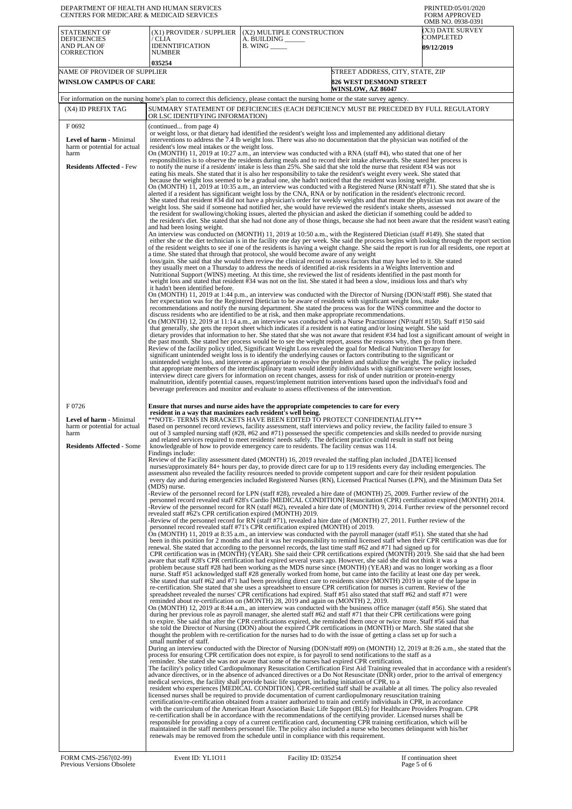| DEPARTMENT OF HEALTH AND HUMAN SERVICES<br><b>CENTERS FOR MEDICARE &amp; MEDICAID SERVICES</b>                      |                                                                                                                                                                                             |                                                                                                                                                                                                                                                                                                                                                                                                                                                                                                                                                                                                                                                                                                                                                                                                                                                                                                                                                                                                                                                                                                                                                                                                                                                                                                                                                                                                                                                                                                                                                                                                                                                                                                                                                                                                                                                                                                                                                                                                                                                                                                                                                                                                                                                                                                                                                                                                                                                                                                                                                                                                                                                                                                                                                                                                                                                                                                                                                                                                                                                                                                                            | PRINTED:05/01/2020<br><b>FORM APPROVED</b><br>OMB NO. 0938-0391                                                                                                                                                                                                                                                                                                                                                                                                                                                                                                                                                                                                                                                                                                                                                                                                                                                                                                                                                                                                                                                                                                                                                                                                                                                                                                                                                                                                                                                                                                                                                                                                                                                                                                                                                                                                                                                                                                                                                                                                                                                                                                                                                                                                                                                                                                                                   |
|---------------------------------------------------------------------------------------------------------------------|---------------------------------------------------------------------------------------------------------------------------------------------------------------------------------------------|----------------------------------------------------------------------------------------------------------------------------------------------------------------------------------------------------------------------------------------------------------------------------------------------------------------------------------------------------------------------------------------------------------------------------------------------------------------------------------------------------------------------------------------------------------------------------------------------------------------------------------------------------------------------------------------------------------------------------------------------------------------------------------------------------------------------------------------------------------------------------------------------------------------------------------------------------------------------------------------------------------------------------------------------------------------------------------------------------------------------------------------------------------------------------------------------------------------------------------------------------------------------------------------------------------------------------------------------------------------------------------------------------------------------------------------------------------------------------------------------------------------------------------------------------------------------------------------------------------------------------------------------------------------------------------------------------------------------------------------------------------------------------------------------------------------------------------------------------------------------------------------------------------------------------------------------------------------------------------------------------------------------------------------------------------------------------------------------------------------------------------------------------------------------------------------------------------------------------------------------------------------------------------------------------------------------------------------------------------------------------------------------------------------------------------------------------------------------------------------------------------------------------------------------------------------------------------------------------------------------------------------------------------------------------------------------------------------------------------------------------------------------------------------------------------------------------------------------------------------------------------------------------------------------------------------------------------------------------------------------------------------------------------------------------------------------------------------------------------------------------|---------------------------------------------------------------------------------------------------------------------------------------------------------------------------------------------------------------------------------------------------------------------------------------------------------------------------------------------------------------------------------------------------------------------------------------------------------------------------------------------------------------------------------------------------------------------------------------------------------------------------------------------------------------------------------------------------------------------------------------------------------------------------------------------------------------------------------------------------------------------------------------------------------------------------------------------------------------------------------------------------------------------------------------------------------------------------------------------------------------------------------------------------------------------------------------------------------------------------------------------------------------------------------------------------------------------------------------------------------------------------------------------------------------------------------------------------------------------------------------------------------------------------------------------------------------------------------------------------------------------------------------------------------------------------------------------------------------------------------------------------------------------------------------------------------------------------------------------------------------------------------------------------------------------------------------------------------------------------------------------------------------------------------------------------------------------------------------------------------------------------------------------------------------------------------------------------------------------------------------------------------------------------------------------------------------------------------------------------------------------------------------------------|
| <b>STATEMENT OF</b><br><b>DEFICIENCIES</b><br>AND PLAN OF<br><b>CORRECTION</b>                                      | (X1) PROVIDER / SUPPLIER<br>′ CLIA<br>IDENNTIFICATION<br>NUMBER                                                                                                                             | (X2) MULTIPLE CONSTRUCTION<br>A. BUILDING ______<br>$B.$ WING $\_\_\_\_\_\_\$                                                                                                                                                                                                                                                                                                                                                                                                                                                                                                                                                                                                                                                                                                                                                                                                                                                                                                                                                                                                                                                                                                                                                                                                                                                                                                                                                                                                                                                                                                                                                                                                                                                                                                                                                                                                                                                                                                                                                                                                                                                                                                                                                                                                                                                                                                                                                                                                                                                                                                                                                                                                                                                                                                                                                                                                                                                                                                                                                                                                                                              | (X3) DATE SURVEY<br>COMPLETED<br>09/12/2019                                                                                                                                                                                                                                                                                                                                                                                                                                                                                                                                                                                                                                                                                                                                                                                                                                                                                                                                                                                                                                                                                                                                                                                                                                                                                                                                                                                                                                                                                                                                                                                                                                                                                                                                                                                                                                                                                                                                                                                                                                                                                                                                                                                                                                                                                                                                                       |
| NAME OF PROVIDER OF SUPPLIER                                                                                        | 035254                                                                                                                                                                                      |                                                                                                                                                                                                                                                                                                                                                                                                                                                                                                                                                                                                                                                                                                                                                                                                                                                                                                                                                                                                                                                                                                                                                                                                                                                                                                                                                                                                                                                                                                                                                                                                                                                                                                                                                                                                                                                                                                                                                                                                                                                                                                                                                                                                                                                                                                                                                                                                                                                                                                                                                                                                                                                                                                                                                                                                                                                                                                                                                                                                                                                                                                                            | STREET ADDRESS, CITY, STATE, ZIP                                                                                                                                                                                                                                                                                                                                                                                                                                                                                                                                                                                                                                                                                                                                                                                                                                                                                                                                                                                                                                                                                                                                                                                                                                                                                                                                                                                                                                                                                                                                                                                                                                                                                                                                                                                                                                                                                                                                                                                                                                                                                                                                                                                                                                                                                                                                                                  |
| WINSLOW CAMPUS OF CARE                                                                                              |                                                                                                                                                                                             |                                                                                                                                                                                                                                                                                                                                                                                                                                                                                                                                                                                                                                                                                                                                                                                                                                                                                                                                                                                                                                                                                                                                                                                                                                                                                                                                                                                                                                                                                                                                                                                                                                                                                                                                                                                                                                                                                                                                                                                                                                                                                                                                                                                                                                                                                                                                                                                                                                                                                                                                                                                                                                                                                                                                                                                                                                                                                                                                                                                                                                                                                                                            | <b>826 WEST DESMOND STREET</b>                                                                                                                                                                                                                                                                                                                                                                                                                                                                                                                                                                                                                                                                                                                                                                                                                                                                                                                                                                                                                                                                                                                                                                                                                                                                                                                                                                                                                                                                                                                                                                                                                                                                                                                                                                                                                                                                                                                                                                                                                                                                                                                                                                                                                                                                                                                                                                    |
|                                                                                                                     |                                                                                                                                                                                             | For information on the nursing home's plan to correct this deficiency, please contact the nursing home or the state survey agency.                                                                                                                                                                                                                                                                                                                                                                                                                                                                                                                                                                                                                                                                                                                                                                                                                                                                                                                                                                                                                                                                                                                                                                                                                                                                                                                                                                                                                                                                                                                                                                                                                                                                                                                                                                                                                                                                                                                                                                                                                                                                                                                                                                                                                                                                                                                                                                                                                                                                                                                                                                                                                                                                                                                                                                                                                                                                                                                                                                                         | <b>WINSLOW, AZ 86047</b>                                                                                                                                                                                                                                                                                                                                                                                                                                                                                                                                                                                                                                                                                                                                                                                                                                                                                                                                                                                                                                                                                                                                                                                                                                                                                                                                                                                                                                                                                                                                                                                                                                                                                                                                                                                                                                                                                                                                                                                                                                                                                                                                                                                                                                                                                                                                                                          |
| (X4) ID PREFIX TAG                                                                                                  |                                                                                                                                                                                             |                                                                                                                                                                                                                                                                                                                                                                                                                                                                                                                                                                                                                                                                                                                                                                                                                                                                                                                                                                                                                                                                                                                                                                                                                                                                                                                                                                                                                                                                                                                                                                                                                                                                                                                                                                                                                                                                                                                                                                                                                                                                                                                                                                                                                                                                                                                                                                                                                                                                                                                                                                                                                                                                                                                                                                                                                                                                                                                                                                                                                                                                                                                            | SUMMARY STATEMENT OF DEFICIENCIES (EACH DEFICIENCY MUST BE PRECEDED BY FULL REGULATORY                                                                                                                                                                                                                                                                                                                                                                                                                                                                                                                                                                                                                                                                                                                                                                                                                                                                                                                                                                                                                                                                                                                                                                                                                                                                                                                                                                                                                                                                                                                                                                                                                                                                                                                                                                                                                                                                                                                                                                                                                                                                                                                                                                                                                                                                                                            |
| F0692                                                                                                               | OR LSC IDENTIFYING INFORMATION)<br>(continued from page 4)                                                                                                                                  |                                                                                                                                                                                                                                                                                                                                                                                                                                                                                                                                                                                                                                                                                                                                                                                                                                                                                                                                                                                                                                                                                                                                                                                                                                                                                                                                                                                                                                                                                                                                                                                                                                                                                                                                                                                                                                                                                                                                                                                                                                                                                                                                                                                                                                                                                                                                                                                                                                                                                                                                                                                                                                                                                                                                                                                                                                                                                                                                                                                                                                                                                                                            |                                                                                                                                                                                                                                                                                                                                                                                                                                                                                                                                                                                                                                                                                                                                                                                                                                                                                                                                                                                                                                                                                                                                                                                                                                                                                                                                                                                                                                                                                                                                                                                                                                                                                                                                                                                                                                                                                                                                                                                                                                                                                                                                                                                                                                                                                                                                                                                                   |
| <b>Level of harm - Minimal</b><br>harm or potential for actual<br>harm                                              | resident's low meal intakes or the weight loss.                                                                                                                                             | or weight loss, or that dietary had identified the resident's weight loss and implemented any additional dietary<br>interventions to address the 7.4 lb weight loss. There was also no documentation that the physician was notified of the<br>On (MONTH) 11, 2019 at 10:27 a.m., an interview was conducted with a RNA (staff #4), who stated that one of her<br>responsibilities is to observe the residents during meals and to record their intake afterwards. She stated her process is                                                                                                                                                                                                                                                                                                                                                                                                                                                                                                                                                                                                                                                                                                                                                                                                                                                                                                                                                                                                                                                                                                                                                                                                                                                                                                                                                                                                                                                                                                                                                                                                                                                                                                                                                                                                                                                                                                                                                                                                                                                                                                                                                                                                                                                                                                                                                                                                                                                                                                                                                                                                                               |                                                                                                                                                                                                                                                                                                                                                                                                                                                                                                                                                                                                                                                                                                                                                                                                                                                                                                                                                                                                                                                                                                                                                                                                                                                                                                                                                                                                                                                                                                                                                                                                                                                                                                                                                                                                                                                                                                                                                                                                                                                                                                                                                                                                                                                                                                                                                                                                   |
| <b>Residents Affected - Few</b>                                                                                     | and had been losing weight.<br>it hadn't been identified before.                                                                                                                            | to notify the nurse if a residents' intake is less than 25%. She said that she told the nurse that resident #34 was not<br>eating his meals. She stated that it is also her responsibility to take the resident's weight every week. She stated that<br>because the weight loss seemed to be a gradual one, she hadn't noticed that the resident was losing weight.<br>alerted if a resident has significant weight loss by the CNA, RNA or by notification in the resident's electronic record.<br>weight loss. She said if someone had notified her, she would have reviewed the resident's intake sheets, assessed<br>the resident for swallowing/choking issues, alerted the physician and asked the dietician if something could be added to<br>a time. She stated that through that protocol, she would become aware of any weight<br>loss/gain. She said that she would then review the clinical record to assess factors that may have led to it. She stated<br>they usually meet on a Thursday to address the needs of identified at-risk residents in a Weights Intervention and<br>Nutritional Support (WINS) meeting. At this time, she reviewed the list of residents identified in the past month for<br>weight loss and stated that resident #34 was not on the list. She stated it had been a slow, insidious loss and that's why<br>her expectation was for the Registered Dietician to be aware of residents with significant weight loss, make<br>discuss residents who are identified to be at risk, and then make appropriate recommendations.<br>that generally, she gets the report sheet which indicates if a resident is not eating and/or losing weight. She said<br>the past month. She stated her process would be to see the weight report, assess the reasons why, then go from there.<br>Review of the facility policy titled, Significant Weight Loss revealed the goal for Medical Nutrition Therapy for<br>significant unintended weight loss is to identify the underlying causes or factors contributing to the significant or<br>that appropriate members of the interdisciplinary team would identify individuals with significant/severe weight losses,<br>interview direct care givers for information on recent changes, assess for risk of under nutrition or protein-energy<br>malnutrition, identify potential causes, request/implement nutrition interventions based upon the individual's food and                                                                                                                                                                                                                                                                                                                                                                                                                                                                                                                                                                                                                                                                          | On (MONTH) 11, 2019 at 10:35 a.m., an interview was conducted with a Registered Nurse (RN/staff #71). She stated that she is<br>She stated that resident #34 did not have a physician's order for weekly weights and that meant the physician was not aware of the<br>the resident's diet. She stated that she had not done any of those things, because she had not been aware that the resident wasn't eating<br>An interview was conducted on (MONTH) 11, 2019 at 10:50 a.m., with the Registered Dietician (staff #149). She stated that<br>either she or the diet technician is in the facility one day per week. She said the process begins with looking through the report section<br>of the resident weights to see if one of the residents is having a weight change. She said the report is run for all residents, one report at<br>On (MONTH) 11, 2019 at 1:44 p.m., an interview was conducted with the Director of Nursing (DON/staff #98). She stated that<br>recommendations and notify the nursing department. She stated the process was for the WINS committee and the doctor to<br>On (MONTH) 12, 2019 at 11:14 a.m., an interview was conducted with a Nurse Practitioner (NP/staff #150). Staff #150 said<br>dietary provides that information to her. She stated that she was not aware that resident #34 had lost a significant amount of weight in<br>unintended weight loss, and intervene as appropriate to resolve the problem and stabilize the weight. The policy included                                                                                                                                                                                                                                                                                                                                                                                                                                                                                                                                                                                                                                                                                                                                                                                                                                                                                          |
| F0726<br><b>Level of harm - Minimal</b><br>harm or potential for actual<br>harm<br><b>Residents Affected - Some</b> | resident in a way that maximizes each resident's well being.<br>Findings include:<br>(MDS) nurse.<br>revealed staff #62's CPR certification expired (MONTH) 2019.<br>small number of staff. | Ensure that nurses and nurse aides have the appropriate competencies to care for every<br>**NOTE- TERMS IN BRACKETS HAVE BEEN EDITED TO PROTECT CONFIDENTIALITY**<br>Based on personnel record reviews, facility assessment, staff interviews and policy review, the facility failed to ensure 3<br>and related services required to meet residents' needs safely. The deficient practice could result in staff not being<br>knowledgeable of how to provide emergency care to residents. The facility census was 114.<br>Review of the Facility assessment dated (MONTH) 16, 2019 revealed the staffing plan included , [DATE] licensed<br>-Review of the personnel record for LPN (staff #28), revealed a hire date of (MONTH) 25, 2009. Further review of the<br>-Review of the personnel record for RN (staff #71), revealed a hire date of (MONTH) 27, 2011. Further review of the<br>personnel record revealed staff #71's CPR certification expired (MONTH) of 2019.<br>renewal. She stated that according to the personnel records, the last time staff #62 and #71 had signed up for<br>aware that staff #28's CPR certification had expired several years ago. However, she said she did not think it was a<br>re-certification. She stated that she uses a spreadsheet to ensure CPR certification for nurses is current. Review of the<br>spreadsheet revealed the nurses' CPR certifications had expired. Staff #51 also stated that staff #62 and staff #71 were<br>reminded about re-certification on (MONTH) 28, 2019 and again on (MONTH) 2, 2019.<br>during her previous role as payroll manager, she alerted staff #62 and staff #71 that their CPR certifications were going<br>to expire. She said that after the CPR certifications expired, she reminded them once or twice more. Staff #56 said that<br>she told the Director of Nursing (DON) about the expired CPR certifications in (MONTH) or March. She stated that she<br>thought the problem with re-certification for the nurses had to do with the issue of getting a class set up for such a<br>process for ensuring CPR certification does not expire, is for payroll to send notifications to the staff as a<br>reminder. She stated she was not aware that some of the nurses had expired CPR certification.<br>medical services, the facility shall provide basic life support, including initiation of CPR, to a<br>licensed nurses shall be required to provide documentation of current cardiopulmonary resuscitation training<br>certification/re-certification obtained from a trainer authorized to train and certify individuals in CPR, in accordance<br>re-certification shall be in accordance with the recommendations of the certifying provider. Licensed nurses shall be<br>responsible for providing a copy of a current certification card, documenting CPR training certification, which will be<br>maintained in the staff members personnel file. The policy also included a nurse who becomes delinquent with his/her<br>represent that the removed from the schedule until in compliance with this requirement. | out of 3 sampled nursing staff (#28, #62 and #71) possessed the specific competencies and skills needed to provide nursing<br>nurses/approximately 84+ hours per day, to provide direct care for up to 119 residents every day including emergencies. The<br>assessment also revealed the facility resources needed to provide competent support and care for their resident population<br>every day and during emergencies included Registered Nurses (RN), Licensed Practical Nurses (LPN), and the Minimum Data Set<br>personnel record revealed staff #28's Cardio [MEDICAL CONDITION] Resuscitation (CPR) certification expired (MONTH) 2014.<br>-Review of the personnel record for RN (staff #62), revealed a hire date of (MONTH) 9, 2014. Further review of the personnel record<br>On (MONTH) 11, 2019 at 8:35 a.m., an interview was conducted with the payroll manager (staff #51). She stated that she had<br>been in this position for 2 months and that it was her responsibility to remind licensed staff when their CPR certification was due for<br>CPR certification was in (MONTH) (YEAR). She said their CPR certifications expired (MONTH) 2019. She said that she had been<br>problem because staff #28 had been working as the MDS nurse since (MONTH) (YEAR) and was no longer working as a floor<br>nurse. Staff #51 acknowledged staff #28 generally worked from home, but came into the facility at least one day per week.<br>She stated that staff #62 and #71 had been providing direct care to residents since (MONTH) 2019 in spite of the lapse in<br>On (MONTH) 12, 2019 at 8:44 a.m., an interview was conducted with the business office manager (staff #56). She stated that<br>During an interview conducted with the Director of Nursing (DON/staff #09) on (MONTH) 12, 2019 at 8:26 a.m., she stated that the<br>The facility's policy titled Cardiopulmonary Resuscitation Certification First Aid Training revealed that in accordance with a resident's<br>advance directives, or in the absence of advanced directives or a Do Not Resuscitate (DNR) order, prior to the arrival of emergency<br>resident who experiences [MEDICAL CONDITION]. CPR-certified staff shall be available at all times. The policy also revealed<br>with the curriculum of the American Heart Association Basic Life Support (BLS) for Healthcare Providers Program. CPR |